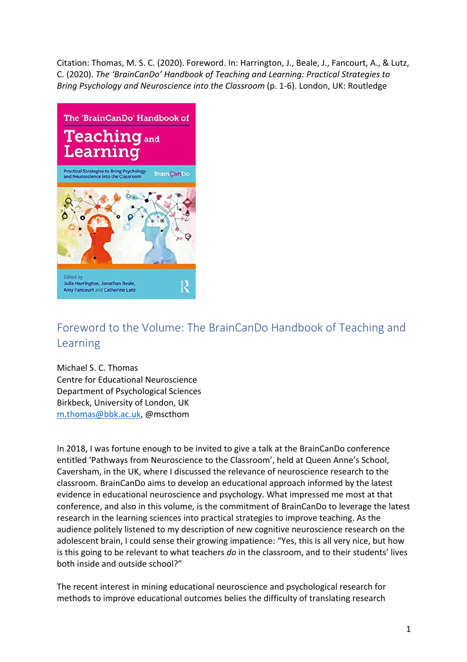Citation: Thomas, M. S. C. (2020). Foreword. In: Harrington, J., Beale, J., Fancourt, A., & Lutz, C. (2020). *The 'BrainCanDo' Handbook of Teaching and Learning: Practical Strategies to Bring Psychology and Neuroscience into the Classroom* (p. 1-6). London, UK: Routledge



## Foreword to the Volume: The BrainCanDo Handbook of Teaching and Learning

Michael S. C. Thomas Centre for Educational Neuroscience Department of Psychological Sciences Birkbeck, University of London, UK m.thomas@bbk.ac.uk, @mscthom

In 2018, I was fortune enough to be invited to give a talk at the BrainCanDo conference entitled 'Pathways from Neuroscience to the Classroom', held at Queen Anne's School, Caversham, in the UK, where I discussed the relevance of neuroscience research to the classroom. BrainCanDo aims to develop an educational approach informed by the latest evidence in educational neuroscience and psychology. What impressed me most at that conference, and also in this volume, is the commitment of BrainCanDo to leverage the latest research in the learning sciences into practical strategies to improve teaching. As the audience politely listened to my description of new cognitive neuroscience research on the adolescent brain, I could sense their growing impatience: "Yes, this is all very nice, but how is this going to be relevant to what teachers *do* in the classroom, and to their students' lives both inside and outside school?"

The recent interest in mining educational neuroscience and psychological research for methods to improve educational outcomes belies the difficulty of translating research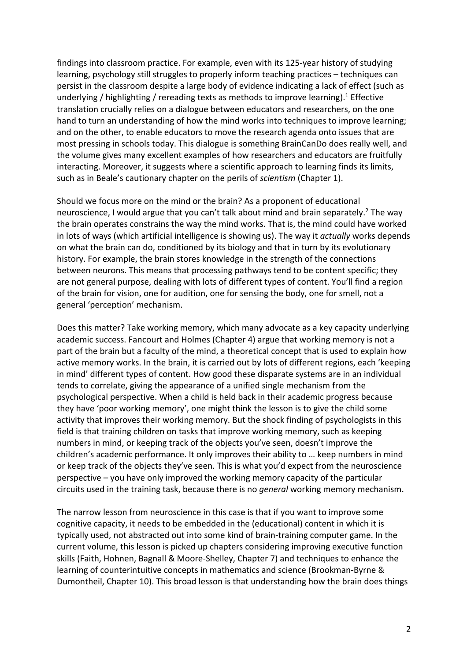findings into classroom practice. For example, even with its 125-year history of studying learning, psychology still struggles to properly inform teaching practices – techniques can persist in the classroom despite a large body of evidence indicating a lack of effect (such as underlying / highlighting / rereading texts as methods to improve learning).<sup>1</sup> Effective translation crucially relies on a dialogue between educators and researchers, on the one hand to turn an understanding of how the mind works into techniques to improve learning; and on the other, to enable educators to move the research agenda onto issues that are most pressing in schools today. This dialogue is something BrainCanDo does really well, and the volume gives many excellent examples of how researchers and educators are fruitfully interacting. Moreover, it suggests where a scientific approach to learning finds its limits, such as in Beale's cautionary chapter on the perils of *scientism* (Chapter 1).

Should we focus more on the mind or the brain? As a proponent of educational neuroscience, I would argue that you can't talk about mind and brain separately.<sup>2</sup> The way the brain operates constrains the way the mind works. That is, the mind could have worked in lots of ways (which artificial intelligence is showing us). The way it *actually* works depends on what the brain can do, conditioned by its biology and that in turn by its evolutionary history. For example, the brain stores knowledge in the strength of the connections between neurons. This means that processing pathways tend to be content specific; they are not general purpose, dealing with lots of different types of content. You'll find a region of the brain for vision, one for audition, one for sensing the body, one for smell, not a general 'perception' mechanism.

Does this matter? Take working memory, which many advocate as a key capacity underlying academic success. Fancourt and Holmes (Chapter 4) argue that working memory is not a part of the brain but a faculty of the mind, a theoretical concept that is used to explain how active memory works. In the brain, it is carried out by lots of different regions, each 'keeping in mind' different types of content. How good these disparate systems are in an individual tends to correlate, giving the appearance of a unified single mechanism from the psychological perspective. When a child is held back in their academic progress because they have 'poor working memory', one might think the lesson is to give the child some activity that improves their working memory. But the shock finding of psychologists in this field is that training children on tasks that improve working memory, such as keeping numbers in mind, or keeping track of the objects you've seen, doesn't improve the children's academic performance. It only improves their ability to … keep numbers in mind or keep track of the objects they've seen. This is what you'd expect from the neuroscience perspective – you have only improved the working memory capacity of the particular circuits used in the training task, because there is no *general* working memory mechanism.

The narrow lesson from neuroscience in this case is that if you want to improve some cognitive capacity, it needs to be embedded in the (educational) content in which it is typically used, not abstracted out into some kind of brain-training computer game. In the current volume, this lesson is picked up chapters considering improving executive function skills (Faith, Hohnen, Bagnall & Moore-Shelley, Chapter 7) and techniques to enhance the learning of counterintuitive concepts in mathematics and science (Brookman-Byrne & Dumontheil, Chapter 10). This broad lesson is that understanding how the brain does things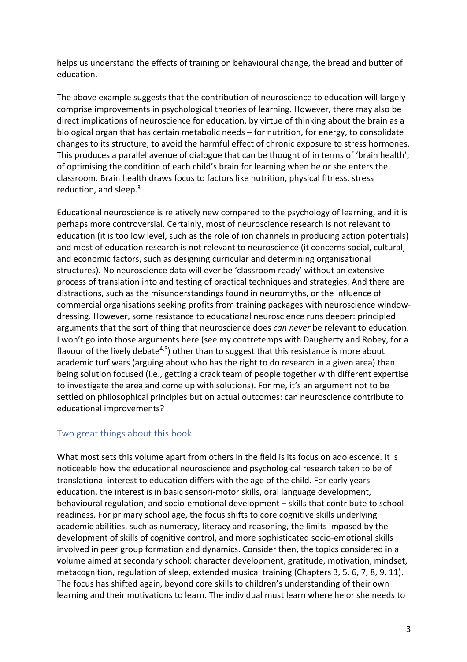helps us understand the effects of training on behavioural change, the bread and butter of education.

The above example suggests that the contribution of neuroscience to education will largely comprise improvements in psychological theories of learning. However, there may also be direct implications of neuroscience for education, by virtue of thinking about the brain as a biological organ that has certain metabolic needs – for nutrition, for energy, to consolidate changes to its structure, to avoid the harmful effect of chronic exposure to stress hormones. This produces a parallel avenue of dialogue that can be thought of in terms of 'brain health', of optimising the condition of each child's brain for learning when he or she enters the classroom. Brain health draws focus to factors like nutrition, physical fitness, stress reduction, and sleep.<sup>3</sup>

Educational neuroscience is relatively new compared to the psychology of learning, and it is perhaps more controversial. Certainly, most of neuroscience research is not relevant to education (it is too low level, such as the role of ion channels in producing action potentials) and most of education research is not relevant to neuroscience (it concerns social, cultural, and economic factors, such as designing curricular and determining organisational structures). No neuroscience data will ever be 'classroom ready' without an extensive process of translation into and testing of practical techniques and strategies. And there are distractions, such as the misunderstandings found in neuromyths, or the influence of commercial organisations seeking profits from training packages with neuroscience windowdressing. However, some resistance to educational neuroscience runs deeper: principled arguments that the sort of thing that neuroscience does *can never* be relevant to education. I won't go into those arguments here (see my contretemps with Daugherty and Robey, for a flavour of the lively debate<sup>4,5</sup>) other than to suggest that this resistance is more about academic turf wars (arguing about who has the right to do research in a given area) than being solution focused (i.e., getting a crack team of people together with different expertise to investigate the area and come up with solutions). For me, it's an argument not to be settled on philosophical principles but on actual outcomes: can neuroscience contribute to educational improvements?

## Two great things about this book

What most sets this volume apart from others in the field is its focus on adolescence. It is noticeable how the educational neuroscience and psychological research taken to be of translational interest to education differs with the age of the child. For early years education, the interest is in basic sensori-motor skills, oral language development, behavioural regulation, and socio-emotional development – skills that contribute to school readiness. For primary school age, the focus shifts to core cognitive skills underlying academic abilities, such as numeracy, literacy and reasoning, the limits imposed by the development of skills of cognitive control, and more sophisticated socio-emotional skills involved in peer group formation and dynamics. Consider then, the topics considered in a volume aimed at secondary school: character development, gratitude, motivation, mindset, metacognition, regulation of sleep, extended musical training (Chapters 3, 5, 6, 7, 8, 9, 11). The focus has shifted again, beyond core skills to children's understanding of their own learning and their motivations to learn. The individual must learn where he or she needs to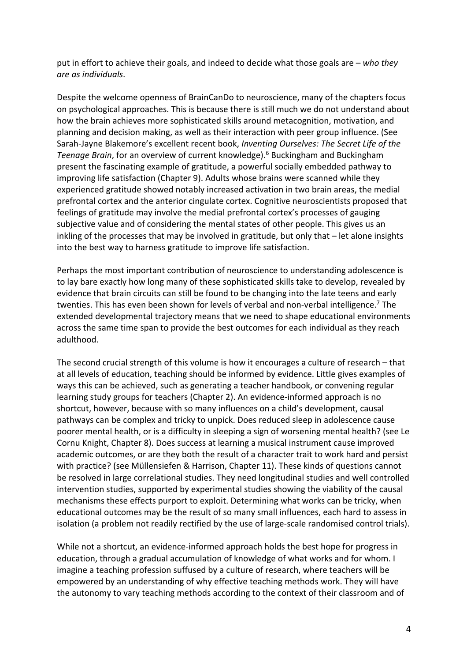put in effort to achieve their goals, and indeed to decide what those goals are – *who they are as individuals*.

Despite the welcome openness of BrainCanDo to neuroscience, many of the chapters focus on psychological approaches. This is because there is still much we do not understand about how the brain achieves more sophisticated skills around metacognition, motivation, and planning and decision making, as well as their interaction with peer group influence. (See Sarah-Jayne Blakemore's excellent recent book, *Inventing Ourselves: The Secret Life of the Teenage Brain*, for an overview of current knowledge).6 Buckingham and Buckingham present the fascinating example of gratitude, a powerful socially embedded pathway to improving life satisfaction (Chapter 9). Adults whose brains were scanned while they experienced gratitude showed notably increased activation in two brain areas, the medial prefrontal cortex and the anterior cingulate cortex. Cognitive neuroscientists proposed that feelings of gratitude may involve the medial prefrontal cortex's processes of gauging subjective value and of considering the mental states of other people. This gives us an inkling of the processes that may be involved in gratitude, but only that – let alone insights into the best way to harness gratitude to improve life satisfaction.

Perhaps the most important contribution of neuroscience to understanding adolescence is to lay bare exactly how long many of these sophisticated skills take to develop, revealed by evidence that brain circuits can still be found to be changing into the late teens and early twenties. This has even been shown for levels of verbal and non-verbal intelligence.<sup>7</sup> The extended developmental trajectory means that we need to shape educational environments across the same time span to provide the best outcomes for each individual as they reach adulthood.

The second crucial strength of this volume is how it encourages a culture of research – that at all levels of education, teaching should be informed by evidence. Little gives examples of ways this can be achieved, such as generating a teacher handbook, or convening regular learning study groups for teachers (Chapter 2). An evidence-informed approach is no shortcut, however, because with so many influences on a child's development, causal pathways can be complex and tricky to unpick. Does reduced sleep in adolescence cause poorer mental health, or is a difficulty in sleeping a sign of worsening mental health? (see Le Cornu Knight, Chapter 8). Does success at learning a musical instrument cause improved academic outcomes, or are they both the result of a character trait to work hard and persist with practice? (see Müllensiefen & Harrison, Chapter 11). These kinds of questions cannot be resolved in large correlational studies. They need longitudinal studies and well controlled intervention studies, supported by experimental studies showing the viability of the causal mechanisms these effects purport to exploit. Determining what works can be tricky, when educational outcomes may be the result of so many small influences, each hard to assess in isolation (a problem not readily rectified by the use of large-scale randomised control trials).

While not a shortcut, an evidence-informed approach holds the best hope for progress in education, through a gradual accumulation of knowledge of what works and for whom. I imagine a teaching profession suffused by a culture of research, where teachers will be empowered by an understanding of why effective teaching methods work. They will have the autonomy to vary teaching methods according to the context of their classroom and of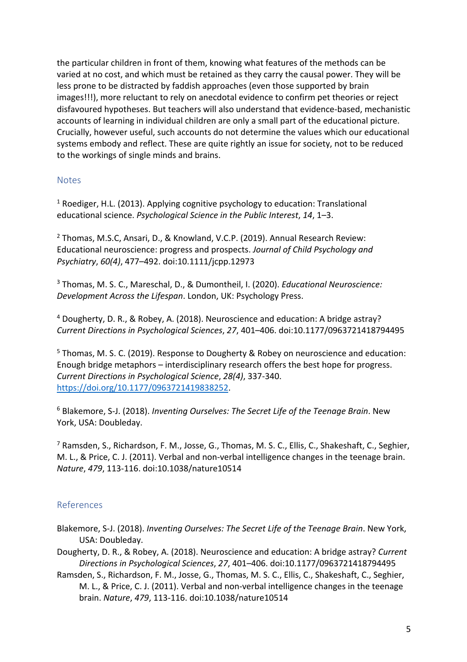the particular children in front of them, knowing what features of the methods can be varied at no cost, and which must be retained as they carry the causal power. They will be less prone to be distracted by faddish approaches (even those supported by brain images!!!), more reluctant to rely on anecdotal evidence to confirm pet theories or reject disfavoured hypotheses. But teachers will also understand that evidence-based, mechanistic accounts of learning in individual children are only a small part of the educational picture. Crucially, however useful, such accounts do not determine the values which our educational systems embody and reflect. These are quite rightly an issue for society, not to be reduced to the workings of single minds and brains.

## Notes

<sup>1</sup> Roediger, H.L. (2013). Applying cognitive psychology to education: Translational educational science. *Psychological Science in the Public Interest*, *14*, 1–3.

<sup>2</sup> Thomas, M.S.C, Ansari, D., & Knowland, V.C.P. (2019). Annual Research Review: Educational neuroscience: progress and prospects. *Journal of Child Psychology and Psychiatry*, *60(4)*, 477–492. doi:10.1111/jcpp.12973

<sup>3</sup> Thomas, M. S. C., Mareschal, D., & Dumontheil, I. (2020). *Educational Neuroscience: Development Across the Lifespan*. London, UK: Psychology Press.

<sup>4</sup> Dougherty, D. R., & Robey, A. (2018). Neuroscience and education: A bridge astray? *Current Directions in Psychological Sciences*, *27*, 401–406. doi:10.1177/0963721418794495

<sup>5</sup> Thomas, M. S. C. (2019). Response to Dougherty & Robey on neuroscience and education: Enough bridge metaphors – interdisciplinary research offers the best hope for progress. *Current Directions in Psychological Science*, *28(4)*, 337-340. https://doi.org/10.1177/0963721419838252.

<sup>6</sup> Blakemore, S-J. (2018). *Inventing Ourselves: The Secret Life of the Teenage Brain*. New York, USA: Doubleday.

<sup>7</sup> Ramsden, S., Richardson, F. M., Josse, G., Thomas, M. S. C., Ellis, C., Shakeshaft, C., Seghier, M. L., & Price, C. J. (2011). Verbal and non-verbal intelligence changes in the teenage brain. *Nature*, *479*, 113-116. doi:10.1038/nature10514

## References

- Blakemore, S-J. (2018). *Inventing Ourselves: The Secret Life of the Teenage Brain*. New York, USA: Doubleday.
- Dougherty, D. R., & Robey, A. (2018). Neuroscience and education: A bridge astray? *Current Directions in Psychological Sciences*, *27*, 401–406. doi:10.1177/0963721418794495
- Ramsden, S., Richardson, F. M., Josse, G., Thomas, M. S. C., Ellis, C., Shakeshaft, C., Seghier, M. L., & Price, C. J. (2011). Verbal and non-verbal intelligence changes in the teenage brain. *Nature*, *479*, 113-116. doi:10.1038/nature10514